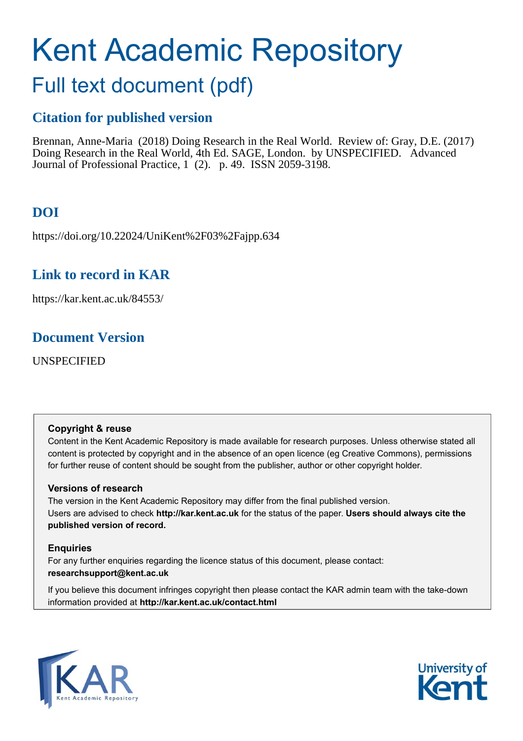# Kent Academic Repository

## Full text document (pdf)

## **Citation for published version**

Brennan, Anne-Maria (2018) Doing Research in the Real World. Review of: Gray, D.E. (2017) Doing Research in the Real World, 4th Ed. SAGE, London. by UNSPECIFIED. Advanced Journal of Professional Practice, 1 (2). p. 49. ISSN 2059-3198.

## **DOI**

https://doi.org/10.22024/UniKent%2F03%2Fajpp.634

## **Link to record in KAR**

https://kar.kent.ac.uk/84553/

### **Document Version**

UNSPECIFIED

#### **Copyright & reuse**

Content in the Kent Academic Repository is made available for research purposes. Unless otherwise stated all content is protected by copyright and in the absence of an open licence (eg Creative Commons), permissions for further reuse of content should be sought from the publisher, author or other copyright holder.

#### **Versions of research**

The version in the Kent Academic Repository may differ from the final published version. Users are advised to check **http://kar.kent.ac.uk** for the status of the paper. **Users should always cite the published version of record.**

#### **Enquiries**

For any further enquiries regarding the licence status of this document, please contact: **researchsupport@kent.ac.uk**

If you believe this document infringes copyright then please contact the KAR admin team with the take-down information provided at **http://kar.kent.ac.uk/contact.html**



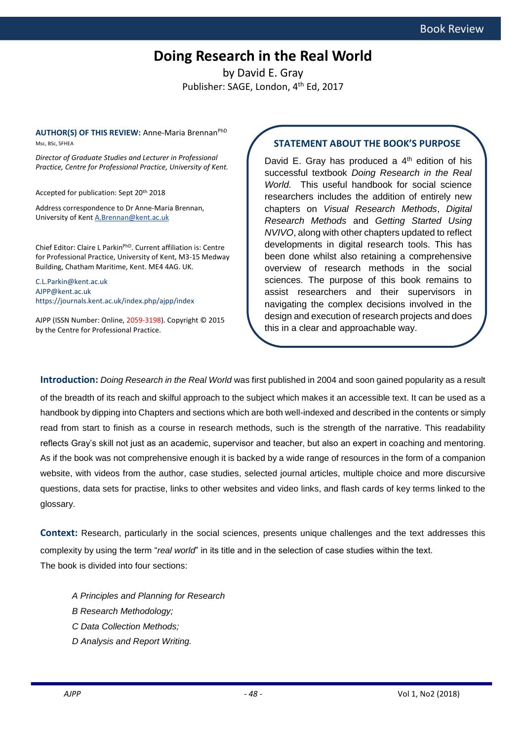## **Doing Research in the Real World**

by David E. Gray Publisher: SAGE, London, 4<sup>th</sup> Ed, 2017

**AUTHOR(S) OF THIS REVIEW:** Anne-Maria Brennan<sup>PhD</sup> Msc, BSc, SFHEA

*Director of Graduate Studies and Lecturer in Professional Practice, Centre for Professional Practice, University of Kent.*

Accepted for publication: Sept 20th 2018

Address correspondence to Dr Anne-Maria Brennan, University of Kent [A.Brennan@kent.ac.uk](mailto:A.Brennan@kent.ac.uk)

Chief Editor: Claire L ParkinPhD. Current affiliation is: Centre for Professional Practice, University of Kent, M3-15 Medway Building, Chatham Maritime, Kent. ME4 4AG. UK.

[C.L.Parkin@kent.ac.uk](mailto:C.L.Parkin@kent.ac.uk) [AJPP@kent.ac.uk](mailto:AJPP@gmail.com) <https://journals.kent.ac.uk/index.php/ajpp/index>

AJPP (ISSN Number: Online, 2059-3198). Copyright © 2015 by the Centre for Professional Practice.

#### **STATEMENT ABOUT THE BOOK'S PURPOSE**

David E. Gray has produced a  $4<sup>th</sup>$  edition of his successful textbook *Doing Research in the Real World.* This useful handbook for social science researchers includes the addition of entirely new chapters on *Visual Research Methods*, *Digital Research Methods* and *Getting Started Using NVIVO*, along with other chapters updated to reflect developments in digital research tools. This has been done whilst also retaining a comprehensive overview of research methods in the social sciences. The purpose of this book remains to assist researchers and their supervisors in navigating the complex decisions involved in the design and execution of research projects and does this in a clear and approachable way.

**Introduction:** *Doing Research in the Real World* was first published in 2004 and soon gained popularity as a result

of the breadth of its reach and skilful approach to the subject which makes it an accessible text. It can be used as a handbook by dipping into Chapters and sections which are both well-indexed and described in the contents or simply read from start to finish as a course in research methods, such is the strength of the narrative. This readability reflects Gray's skill not just as an academic, supervisor and teacher, but also an expert in coaching and mentoring. As if the book was not comprehensive enough it is backed by a wide range of resources in the form of a companion website, with videos from the author, case studies, selected journal articles, multiple choice and more discursive questions, data sets for practise, links to other websites and video links, and flash cards of key terms linked to the glossary.

**Context:** Research, particularly in the social sciences, presents unique challenges and the text addresses this complexity by using the term "*real world*" in its title and in the selection of case studies within the text. The book is divided into four sections:

- *A Principles and Planning for Research*
- *B Research Methodology;*
- *C Data Collection Methods;*
- *D Analysis and Report Writing.*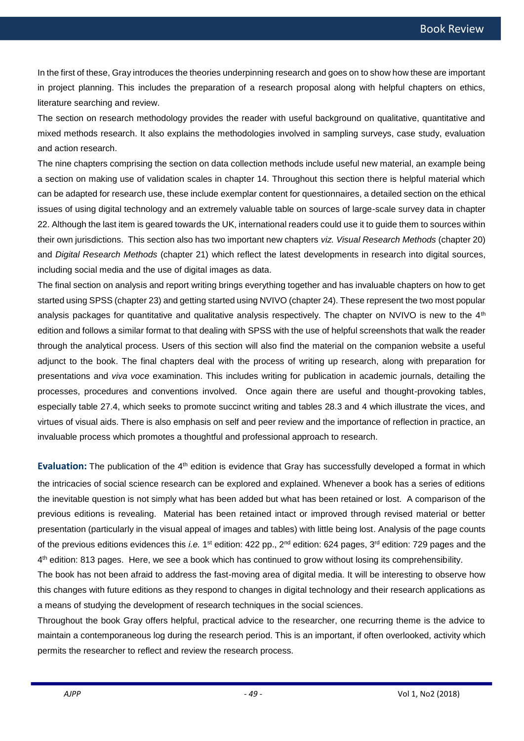In the first of these, Gray introduces the theories underpinning research and goes on to show how these are important in project planning. This includes the preparation of a research proposal along with helpful chapters on ethics, literature searching and review.

The section on research methodology provides the reader with useful background on qualitative, quantitative and mixed methods research. It also explains the methodologies involved in sampling surveys, case study, evaluation and action research.

The nine chapters comprising the section on data collection methods include useful new material, an example being a section on making use of validation scales in chapter 14. Throughout this section there is helpful material which can be adapted for research use, these include exemplar content for questionnaires, a detailed section on the ethical issues of using digital technology and an extremely valuable table on sources of large-scale survey data in chapter 22. Although the last item is geared towards the UK, international readers could use it to guide them to sources within their own jurisdictions. This section also has two important new chapters *viz. Visual Research Methods* (chapter 20) and *Digital Research Methods* (chapter 21) which reflect the latest developments in research into digital sources, including social media and the use of digital images as data.

The final section on analysis and report writing brings everything together and has invaluable chapters on how to get started using SPSS (chapter 23) and getting started using NVIVO (chapter 24). These represent the two most popular analysis packages for quantitative and qualitative analysis respectively. The chapter on NVIVO is new to the 4<sup>th</sup> edition and follows a similar format to that dealing with SPSS with the use of helpful screenshots that walk the reader through the analytical process. Users of this section will also find the material on the companion website a useful adjunct to the book. The final chapters deal with the process of writing up research, along with preparation for presentations and *viva voce* examination. This includes writing for publication in academic journals, detailing the processes, procedures and conventions involved. Once again there are useful and thought-provoking tables, especially table 27.4, which seeks to promote succinct writing and tables 28.3 and 4 which illustrate the vices, and virtues of visual aids. There is also emphasis on self and peer review and the importance of reflection in practice, an invaluable process which promotes a thoughtful and professional approach to research.

**Evaluation:** The publication of the 4<sup>th</sup> edition is evidence that Gray has successfully developed a format in which the intricacies of social science research can be explored and explained. Whenever a book has a series of editions the inevitable question is not simply what has been added but what has been retained or lost. A comparison of the previous editions is revealing. Material has been retained intact or improved through revised material or better presentation (particularly in the visual appeal of images and tables) with little being lost. Analysis of the page counts of the previous editions evidences this *i.e.* 1<sup>st</sup> edition: 422 pp., 2<sup>nd</sup> edition: 624 pages, 3<sup>rd</sup> edition: 729 pages and the 4 th edition: 813 pages. Here, we see a book which has continued to grow without losing its comprehensibility.

The book has not been afraid to address the fast-moving area of digital media. It will be interesting to observe how this changes with future editions as they respond to changes in digital technology and their research applications as a means of studying the development of research techniques in the social sciences.

Throughout the book Gray offers helpful, practical advice to the researcher, one recurring theme is the advice to maintain a contemporaneous log during the research period. This is an important, if often overlooked, activity which permits the researcher to reflect and review the research process.